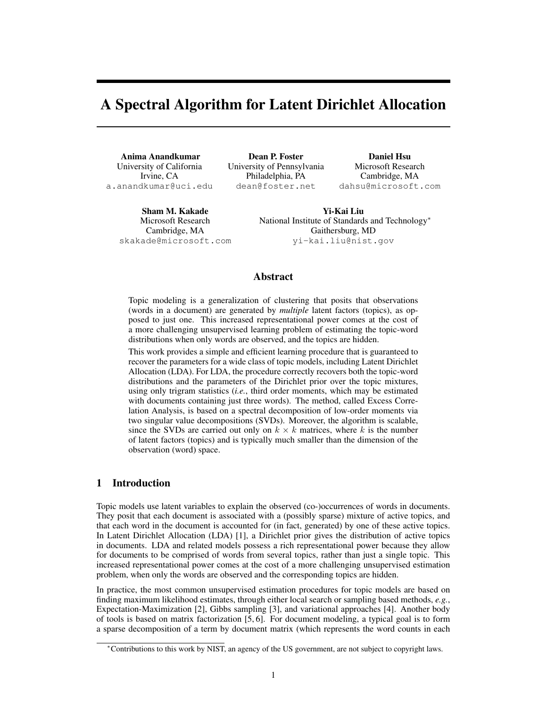# A Spectral Algorithm for Latent Dirichlet Allocation

Anima Anandkumar University of California Irvine, CA a.anandkumar@uci.edu

Dean P. Foster University of Pennsylvania Philadelphia, PA dean@foster.net

Daniel Hsu Microsoft Research Cambridge, MA dahsu@microsoft.com

Sham M. Kakade Microsoft Research Cambridge, MA skakade@microsoft.com

Yi-Kai Liu National Institute of Standards and Technology<sup>∗</sup> Gaithersburg, MD yi-kai.liu@nist.gov

# Abstract

Topic modeling is a generalization of clustering that posits that observations (words in a document) are generated by *multiple* latent factors (topics), as opposed to just one. This increased representational power comes at the cost of a more challenging unsupervised learning problem of estimating the topic-word distributions when only words are observed, and the topics are hidden.

This work provides a simple and efficient learning procedure that is guaranteed to recover the parameters for a wide class of topic models, including Latent Dirichlet Allocation (LDA). For LDA, the procedure correctly recovers both the topic-word distributions and the parameters of the Dirichlet prior over the topic mixtures, using only trigram statistics (*i.e.*, third order moments, which may be estimated with documents containing just three words). The method, called Excess Correlation Analysis, is based on a spectral decomposition of low-order moments via two singular value decompositions (SVDs). Moreover, the algorithm is scalable, since the SVDs are carried out only on  $k \times k$  matrices, where k is the number of latent factors (topics) and is typically much smaller than the dimension of the observation (word) space.

# 1 Introduction

Topic models use latent variables to explain the observed (co-)occurrences of words in documents. They posit that each document is associated with a (possibly sparse) mixture of active topics, and that each word in the document is accounted for (in fact, generated) by one of these active topics. In Latent Dirichlet Allocation (LDA) [1], a Dirichlet prior gives the distribution of active topics in documents. LDA and related models possess a rich representational power because they allow for documents to be comprised of words from several topics, rather than just a single topic. This increased representational power comes at the cost of a more challenging unsupervised estimation problem, when only the words are observed and the corresponding topics are hidden.

In practice, the most common unsupervised estimation procedures for topic models are based on finding maximum likelihood estimates, through either local search or sampling based methods, *e.g.*, Expectation-Maximization [2], Gibbs sampling [3], and variational approaches [4]. Another body of tools is based on matrix factorization [5, 6]. For document modeling, a typical goal is to form a sparse decomposition of a term by document matrix (which represents the word counts in each

<sup>∗</sup>Contributions to this work by NIST, an agency of the US government, are not subject to copyright laws.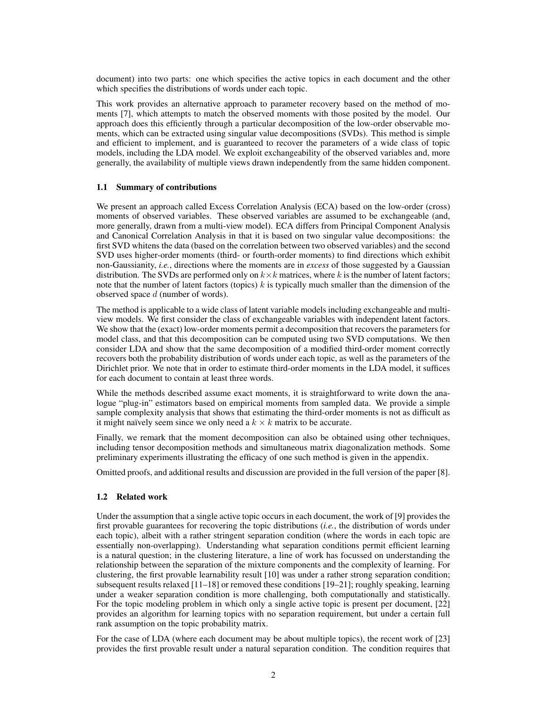document) into two parts: one which specifies the active topics in each document and the other which specifies the distributions of words under each topic.

This work provides an alternative approach to parameter recovery based on the method of moments [7], which attempts to match the observed moments with those posited by the model. Our approach does this efficiently through a particular decomposition of the low-order observable moments, which can be extracted using singular value decompositions (SVDs). This method is simple and efficient to implement, and is guaranteed to recover the parameters of a wide class of topic models, including the LDA model. We exploit exchangeability of the observed variables and, more generally, the availability of multiple views drawn independently from the same hidden component.

#### 1.1 Summary of contributions

We present an approach called Excess Correlation Analysis (ECA) based on the low-order (cross) moments of observed variables. These observed variables are assumed to be exchangeable (and, more generally, drawn from a multi-view model). ECA differs from Principal Component Analysis and Canonical Correlation Analysis in that it is based on two singular value decompositions: the first SVD whitens the data (based on the correlation between two observed variables) and the second SVD uses higher-order moments (third- or fourth-order moments) to find directions which exhibit non-Gaussianity, *i.e.*, directions where the moments are in *excess* of those suggested by a Gaussian distribution. The SVDs are performed only on  $k \times k$  matrices, where k is the number of latent factors; note that the number of latent factors (topics)  $k$  is typically much smaller than the dimension of the observed space d (number of words).

The method is applicable to a wide class of latent variable models including exchangeable and multiview models. We first consider the class of exchangeable variables with independent latent factors. We show that the (exact) low-order moments permit a decomposition that recovers the parameters for model class, and that this decomposition can be computed using two SVD computations. We then consider LDA and show that the same decomposition of a modified third-order moment correctly recovers both the probability distribution of words under each topic, as well as the parameters of the Dirichlet prior. We note that in order to estimate third-order moments in the LDA model, it suffices for each document to contain at least three words.

While the methods described assume exact moments, it is straightforward to write down the analogue "plug-in" estimators based on empirical moments from sampled data. We provide a simple sample complexity analysis that shows that estimating the third-order moments is not as difficult as it might naïvely seem since we only need a  $k \times k$  matrix to be accurate.

Finally, we remark that the moment decomposition can also be obtained using other techniques, including tensor decomposition methods and simultaneous matrix diagonalization methods. Some preliminary experiments illustrating the efficacy of one such method is given in the appendix.

Omitted proofs, and additional results and discussion are provided in the full version of the paper [8].

## 1.2 Related work

Under the assumption that a single active topic occurs in each document, the work of [9] provides the first provable guarantees for recovering the topic distributions (*i.e.*, the distribution of words under each topic), albeit with a rather stringent separation condition (where the words in each topic are essentially non-overlapping). Understanding what separation conditions permit efficient learning is a natural question; in the clustering literature, a line of work has focussed on understanding the relationship between the separation of the mixture components and the complexity of learning. For clustering, the first provable learnability result [10] was under a rather strong separation condition; subsequent results relaxed [11–18] or removed these conditions [19–21]; roughly speaking, learning under a weaker separation condition is more challenging, both computationally and statistically. For the topic modeling problem in which only a single active topic is present per document, [22] provides an algorithm for learning topics with no separation requirement, but under a certain full rank assumption on the topic probability matrix.

For the case of LDA (where each document may be about multiple topics), the recent work of [23] provides the first provable result under a natural separation condition. The condition requires that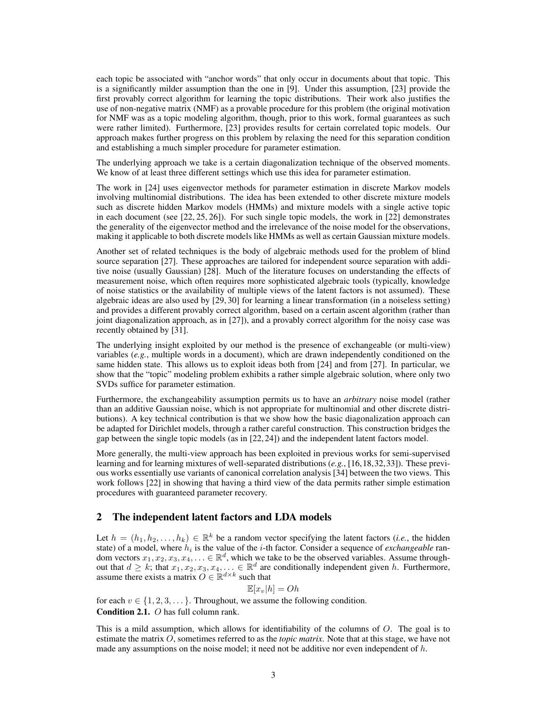each topic be associated with "anchor words" that only occur in documents about that topic. This is a significantly milder assumption than the one in [9]. Under this assumption, [23] provide the first provably correct algorithm for learning the topic distributions. Their work also justifies the use of non-negative matrix (NMF) as a provable procedure for this problem (the original motivation for NMF was as a topic modeling algorithm, though, prior to this work, formal guarantees as such were rather limited). Furthermore, [23] provides results for certain correlated topic models. Our approach makes further progress on this problem by relaxing the need for this separation condition and establishing a much simpler procedure for parameter estimation.

The underlying approach we take is a certain diagonalization technique of the observed moments. We know of at least three different settings which use this idea for parameter estimation.

The work in [24] uses eigenvector methods for parameter estimation in discrete Markov models involving multinomial distributions. The idea has been extended to other discrete mixture models such as discrete hidden Markov models (HMMs) and mixture models with a single active topic in each document (see [22, 25, 26]). For such single topic models, the work in [22] demonstrates the generality of the eigenvector method and the irrelevance of the noise model for the observations, making it applicable to both discrete models like HMMs as well as certain Gaussian mixture models.

Another set of related techniques is the body of algebraic methods used for the problem of blind source separation [27]. These approaches are tailored for independent source separation with additive noise (usually Gaussian) [28]. Much of the literature focuses on understanding the effects of measurement noise, which often requires more sophisticated algebraic tools (typically, knowledge of noise statistics or the availability of multiple views of the latent factors is not assumed). These algebraic ideas are also used by [29, 30] for learning a linear transformation (in a noiseless setting) and provides a different provably correct algorithm, based on a certain ascent algorithm (rather than joint diagonalization approach, as in [27]), and a provably correct algorithm for the noisy case was recently obtained by [31].

The underlying insight exploited by our method is the presence of exchangeable (or multi-view) variables (*e.g.*, multiple words in a document), which are drawn independently conditioned on the same hidden state. This allows us to exploit ideas both from [24] and from [27]. In particular, we show that the "topic" modeling problem exhibits a rather simple algebraic solution, where only two SVDs suffice for parameter estimation.

Furthermore, the exchangeability assumption permits us to have an *arbitrary* noise model (rather than an additive Gaussian noise, which is not appropriate for multinomial and other discrete distributions). A key technical contribution is that we show how the basic diagonalization approach can be adapted for Dirichlet models, through a rather careful construction. This construction bridges the gap between the single topic models (as in [22, 24]) and the independent latent factors model.

More generally, the multi-view approach has been exploited in previous works for semi-supervised learning and for learning mixtures of well-separated distributions (*e.g.*, [16,18,32,33]). These previous works essentially use variants of canonical correlation analysis [34] between the two views. This work follows [22] in showing that having a third view of the data permits rather simple estimation procedures with guaranteed parameter recovery.

## 2 The independent latent factors and LDA models

Let  $h = (h_1, h_2, \ldots, h_k) \in \mathbb{R}^k$  be a random vector specifying the latent factors (*i.e.*, the hidden state) of a model, where  $h_i$  is the value of the  $i$ -th factor. Consider a sequence of *exchangeable* random vectors  $x_1, x_2, x_3, x_4, \ldots \in \mathbb{R}^d$ , which we take to be the observed variables. Assume throughout that  $d \geq k$ ; that  $x_1, x_2, x_3, x_4, \ldots \in \mathbb{R}^d$  are conditionally independent given h. Furthermore, assume there exists a matrix  $O \in \mathbb{R}^{d \times k}$  such that

$$
\mathbb{E}[x_v|h] = Oh
$$

for each  $v \in \{1, 2, 3, \dots\}$ . Throughout, we assume the following condition.

Condition 2.1. O has full column rank.

This is a mild assumption, which allows for identifiability of the columns of O. The goal is to estimate the matrix O, sometimes referred to as the *topic matrix*. Note that at this stage, we have not made any assumptions on the noise model; it need not be additive nor even independent of  $h$ .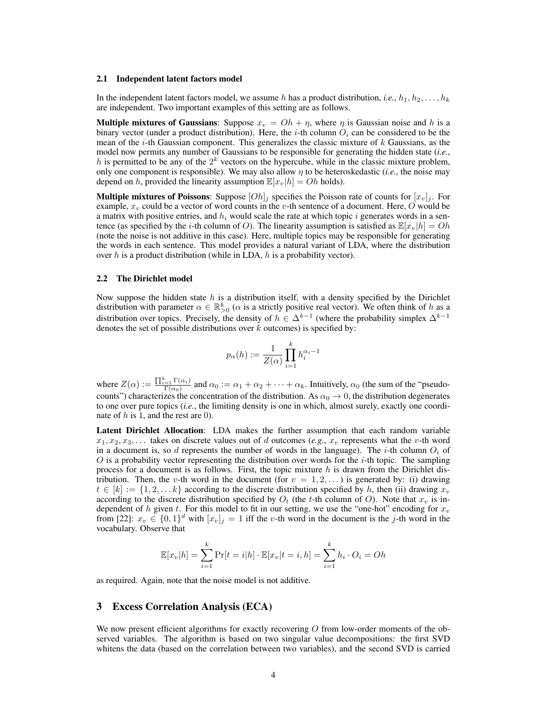#### 2.1 Independent latent factors model

In the independent latent factors model, we assume h has a product distribution, *i.e.*,  $h_1, h_2, \ldots, h_k$ are independent. Two important examples of this setting are as follows.

**Multiple mixtures of Gaussians**: Suppose  $x_v = Oh + \eta$ , where  $\eta$  is Gaussian noise and h is a binary vector (under a product distribution). Here, the *i*-th column  $O_i$  can be considered to be the mean of the  $i$ -th Gaussian component. This generalizes the classic mixture of  $k$  Gaussians, as the model now permits any number of Gaussians to be responsible for generating the hidden state (*i.e.*, h is permitted to be any of the  $2^k$  vectors on the hypercube, while in the classic mixture problem, only one component is responsible). We may also allow  $\eta$  to be heteroskedastic (*i.e.*, the noise may depend on h, provided the linearity assumption  $\mathbb{E}[x_v|h] = Oh$  holds).

**Multiple mixtures of Poissons:** Suppose  $[Oh]_i$  specifies the Poisson rate of counts for  $[x_v]_i$ . For example,  $x_v$  could be a vector of word counts in the v-th sentence of a document. Here, O would be a matrix with positive entries, and  $h_i$  would scale the rate at which topic i generates words in a sentence (as specified by the *i*-th column of O). The linearity assumption is satisfied as  $\mathbb{E}[x_v|h] = Oh$ (note the noise is not additive in this case). Here, multiple topics may be responsible for generating the words in each sentence. This model provides a natural variant of LDA, where the distribution over  $h$  is a product distribution (while in LDA,  $h$  is a probability vector).

#### 2.2 The Dirichlet model

Now suppose the hidden state  $h$  is a distribution itself, with a density specified by the Dirichlet distribution with parameter  $\alpha \in \mathbb{R}_{>0}^k$  ( $\alpha$  is a strictly positive real vector). We often think of h as a distribution over topics. Precisely, the density of  $h \in \Delta^{k-1}$  (where the probability simplex  $\Delta^{k-1}$ denotes the set of possible distributions over  $k$  outcomes) is specified by:

$$
p_{\alpha}(h) := \frac{1}{Z(\alpha)} \prod_{i=1}^{k} h_i^{\alpha_i - 1}
$$

where  $Z(\alpha) := \frac{\prod_{i=1}^k \Gamma(\alpha_i)}{\Gamma(\alpha_0)}$  and  $\alpha_0 := \alpha_1 + \alpha_2 + \cdots + \alpha_k$ . Intuitively,  $\alpha_0$  (the sum of the "pseudocounts") characterizes the concentration of the distribution. As  $\alpha_0 \to 0$ , the distribution degenerates to one over pure topics (*i.e.*, the limiting density is one in which, almost surely, exactly one coordinate of  $h$  is 1, and the rest are 0).

Latent Dirichlet Allocation: LDA makes the further assumption that each random variable  $x_1, x_2, x_3, \ldots$  takes on discrete values out of d outcomes (*e.g.*,  $x_v$  represents what the *v*-th word in a document is, so d represents the number of words in the language). The *i*-th column  $O_i$  of  $O$  is a probability vector representing the distribution over words for the *i*-th topic. The sampling process for a document is as follows. First, the topic mixture  $h$  is drawn from the Dirichlet distribution. Then, the v-th word in the document (for  $v = 1, 2, \ldots$ ) is generated by: (i) drawing  $t \in [k] := \{1, 2, \ldots k\}$  according to the discrete distribution specified by h, then (ii) drawing  $x_v$ according to the discrete distribution specified by  $O_t$  (the t-th column of O). Note that  $x_v$  is independent of h given t. For this model to fit in our setting, we use the "one-hot" encoding for  $x_v$ from [22]:  $x_v \in \{0,1\}^d$  with  $[x_v]_j = 1$  iff the v-th word in the document is the j-th word in the vocabulary. Observe that

$$
\mathbb{E}[x_v|h] = \sum_{i=1}^k \Pr[t=i|h] \cdot \mathbb{E}[x_v|t=i,h] = \sum_{i=1}^k h_i \cdot O_i = Oh
$$

as required. Again, note that the noise model is not additive.

## 3 Excess Correlation Analysis (ECA)

We now present efficient algorithms for exactly recovering  $O$  from low-order moments of the observed variables. The algorithm is based on two singular value decompositions: the first SVD whitens the data (based on the correlation between two variables), and the second SVD is carried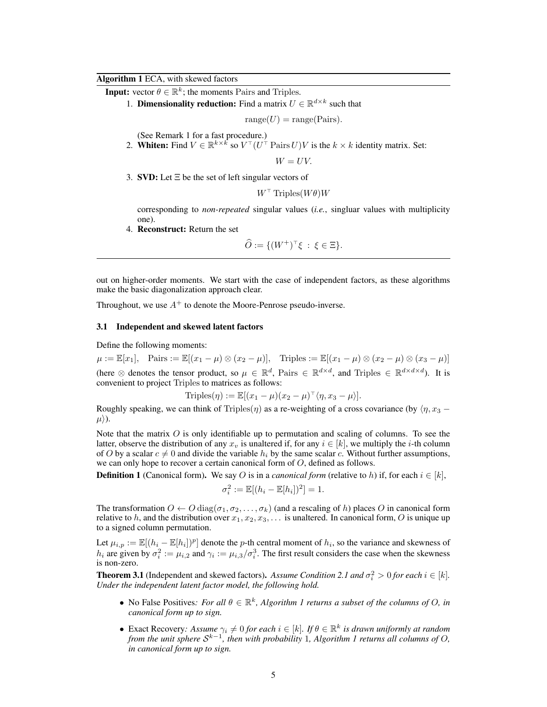#### Algorithm 1 ECA, with skewed factors

**Input:** vector  $\theta \in \mathbb{R}^k$ ; the moments Pairs and Triples.

1. **Dimensionality reduction:** Find a matrix  $U \in \mathbb{R}^{d \times k}$  such that

 $range(U) = range(Pairs)$ .

(See Remark 1 for a fast procedure.)

2. Whiten: Find  $V \in \mathbb{R}^{k \times k^2}$  so  $V^{\top} (U^{\top}$  Pairs  $U)V$  is the  $k \times k$  identity matrix. Set:

 $W = UV$ .

3. **SVD:** Let  $\Xi$  be the set of left singular vectors of

 $W^{\top}$  Triples $(W\theta)W$ 

corresponding to *non-repeated* singular values (*i.e.*, singluar values with multiplicity one).

4. Reconstruct: Return the set

$$
\widehat{O} := \{ (W^+)^\top \xi \, : \, \xi \in \Xi \}.
$$

out on higher-order moments. We start with the case of independent factors, as these algorithms make the basic diagonalization approach clear.

Throughout, we use  $A^+$  to denote the Moore-Penrose pseudo-inverse.

#### 3.1 Independent and skewed latent factors

Define the following moments:

 $\mu := \mathbb{E}[x_1], \quad \text{Pairs} := \mathbb{E}[(x_1 - \mu) \otimes (x_2 - \mu)], \quad \text{Triples} := \mathbb{E}[(x_1 - \mu) \otimes (x_2 - \mu) \otimes (x_3 - \mu)]$ (here  $\otimes$  denotes the tensor product, so  $\mu \in \mathbb{R}^d$ , Pairs  $\in \mathbb{R}^{d \times d}$ , and Triples  $\in \mathbb{R}^{d \times d \times d}$ ). It is convenient to project Triples to matrices as follows:

$$
\text{Triples}(\eta) := \mathbb{E}[(x_1 - \mu)(x_2 - \mu)^{\top} \langle \eta, x_3 - \mu \rangle].
$$

Roughly speaking, we can think of Triples( $\eta$ ) as a re-weighting of a cross covariance (by  $\langle \eta, x_3 - \eta \rangle$  $\mu$ .

Note that the matrix  $\hat{O}$  is only identifiable up to permutation and scaling of columns. To see the latter, observe the distribution of any  $x_v$  is unaltered if, for any  $i \in [k]$ , we multiply the *i*-th column of O by a scalar  $c \neq 0$  and divide the variable  $h_i$  by the same scalar c. Without further assumptions, we can only hope to recover a certain canonical form of O, defined as follows.

**Definition 1** (Canonical form). We say O is in a *canonical form* (relative to h) if, for each  $i \in [k]$ ,

$$
\sigma_i^2 := \mathbb{E}[(h_i - \mathbb{E}[h_i])^2] = 1.
$$

The transformation  $O \leftarrow O \text{diag}(\sigma_1, \sigma_2, \ldots, \sigma_k)$  (and a rescaling of h) places O in canonical form relative to h, and the distribution over  $x_1, x_2, x_3, \ldots$  is unaltered. In canonical form, O is unique up to a signed column permutation.

Let  $\mu_{i,p} := \mathbb{E}[(h_i - \mathbb{E}[h_i])^p]$  denote the p-th central moment of  $h_i$ , so the variance and skewness of  $h_i$  are given by  $\sigma_i^2 := \mu_{i,2}$  and  $\gamma_i := \mu_{i,3}/\sigma_i^3$ . The first result considers the case when the skewness is non-zero.

**Theorem 3.1** (Independent and skewed factors). Assume Condition 2.1 and  $\sigma_i^2 > 0$  for each  $i \in [k]$ . *Under the independent latent factor model, the following hold.*

- No False Positives: *For all*  $\theta \in \mathbb{R}^k$ , *Algorithm 1 returns a subset of the columns of O, in canonical form up to sign.*
- Exact Recovery: Assume  $\gamma_i \neq 0$  for each  $i \in [k]$ . If  $\theta \in \mathbb{R}^k$  is drawn uniformly at random *from the unit sphere*  $\mathcal{S}^{k-1}$ *, then with probability* 1, Algorithm 1 returns all columns of O, *in canonical form up to sign.*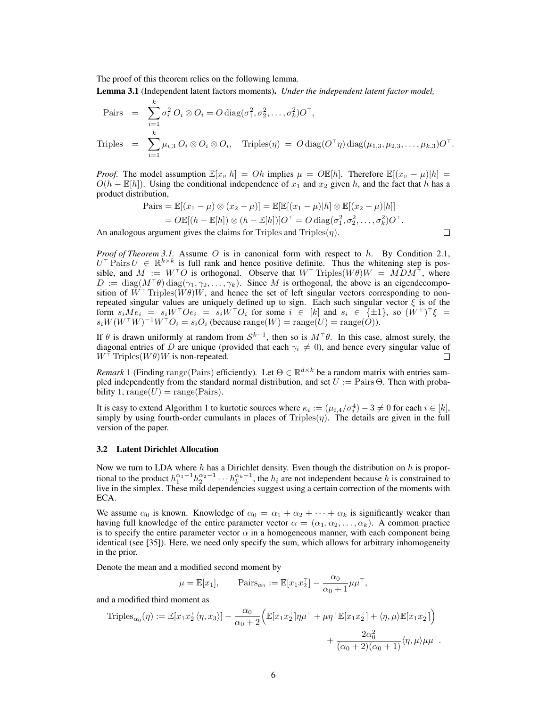The proof of this theorem relies on the following lemma.

Lemma 3.1 (Independent latent factors moments). *Under the independent latent factor model,*

$$
\begin{aligned}\n\text{Pairs} &= \sum_{i=1}^{k} \sigma_i^2 \, O_i \otimes O_i = O \, \text{diag}(\sigma_1^2, \sigma_2^2, \dots, \sigma_k^2) O^\top, \\
\text{Triples} &= \sum_{i=1}^{k} \mu_{i,3} \, O_i \otimes O_i \otimes O_i, \quad \text{Triples}(\eta) = O \, \text{diag}(O^\top \eta) \, \text{diag}(\mu_{1,3}, \mu_{2,3}, \dots, \mu_{k,3}) O^\top.\n\end{aligned}
$$

*Proof.* The model assumption  $\mathbb{E}[x_v|h] = Oh$  implies  $\mu = O \mathbb{E}[h]$ . Therefore  $\mathbb{E}[(x_v - \mu)|h] =$  $O(h - \mathbb{E}[h])$ . Using the conditional independence of  $x_1$  and  $x_2$  given h, and the fact that h has a product distribution,

$$
\begin{aligned} \text{Pairs} &= \mathbb{E}[(x_1 - \mu) \otimes (x_2 - \mu)] = \mathbb{E}[\mathbb{E}[(x_1 - \mu)|h] \otimes \mathbb{E}[(x_2 - \mu)|h]] \\ &= O\mathbb{E}[(h - \mathbb{E}[h]) \otimes (h - \mathbb{E}[h])]O^\top = O \operatorname{diag}(\sigma_1^2, \sigma_2^2, \dots, \sigma_k^2)O^\top. \end{aligned}
$$

 $\Box$ 

An analogous argument gives the claims for Triples and Triples $(\eta)$ .

*Proof of Theorem 3.1.* Assume O is in canonical form with respect to h. By Condition 2.1,  $U^{\top}$  Pairs  $U \in \mathbb{R}^{k \times k}$  is full rank and hence positive definite. Thus the whitening step is possible, and  $M := W^{\top}O$  is orthogonal. Observe that  $W^{\top}$  Triples( $W\theta$ ) $W = M\overline{D}M^{\top}$ , where  $D := \text{diag}(M^{\top}\theta) \text{diag}(\gamma_1, \gamma_2, \dots, \gamma_k)$ . Since M is orthogonal, the above is an eigendecomposition of  $W^{\top}$  Triples( $W\theta$ )W, and hence the set of left singular vectors corresponding to nonrepeated singular values are uniquely defined up to sign. Each such singular vector  $\xi$  is of the form  $s_iMe_i = s_iW^{\top}Oe_i = s_iW^{\top}O_i$  for some  $i \in [k]$  and  $s_i \in {\pm 1}$ , so  $(W^+)^{\top}\xi =$  $s_i W (W^{\top} W)^{-1} W^{\top} O_i = s_i O_i$  (because  $\text{range}(W) = \text{range}(U) = \text{range}(\tilde{O})$ ).

If  $\theta$  is drawn uniformly at random from  $\mathcal{S}^{k-1}$ , then so is  $M^{\top}\theta$ . In this case, almost surely, the diagonal entries of D are unique (provided that each  $\gamma_i \neq 0$ ), and hence every singular value of  $W^{\dagger}$  Triples( $W\theta$ )W is non-repeated. П

*Remark* 1 (Finding range(Pairs) efficiently). Let  $\Theta \in \mathbb{R}^{d \times k}$  be a random matrix with entries sampled independently from the standard normal distribution, and set  $U :=$  Pairs  $\Theta$ . Then with probability 1, range( $U$ ) = range(Pairs).

It is easy to extend Algorithm 1 to kurtotic sources where  $\kappa_i := (\mu_{i,4}/\sigma_i^4) - 3 \neq 0$  for each  $i \in [k]$ , simply by using fourth-order cumulants in places of Triples $(\eta)$ . The details are given in the full version of the paper.

#### 3.2 Latent Dirichlet Allocation

Now we turn to LDA where h has a Dirichlet density. Even though the distribution on h is proportional to the product  $h_1^{\alpha_1-1}h_2^{\alpha_2-1}\cdots h_k^{\alpha_k-1}$ , the  $h_i$  are not independent because h is constrained to live in the simplex. These mild dependencies suggest using a certain correction of the moments with ECA.

We assume  $\alpha_0$  is known. Knowledge of  $\alpha_0 = \alpha_1 + \alpha_2 + \cdots + \alpha_k$  is significantly weaker than having full knowledge of the entire parameter vector  $\alpha = (\alpha_1, \alpha_2, \dots, \alpha_k)$ . A common practice is to specify the entire parameter vector  $\alpha$  in a homogeneous manner, with each component being identical (see [35]). Here, we need only specify the sum, which allows for arbitrary inhomogeneity in the prior.

Denote the mean and a modified second moment by

$$
\mu = \mathbb{E}[x_1],
$$
  $\text{Pairs}_{\alpha_0} := \mathbb{E}[x_1 x_2^\top] - \frac{\alpha_0}{\alpha_0 + 1} \mu \mu^\top,$ 

and a modified third moment as

$$
\begin{split} \text{Triples}_{\alpha_0}(\eta) &:= \mathbb{E}[x_1 x_2^\top \langle \eta, x_3 \rangle] - \frac{\alpha_0}{\alpha_0 + 2} \Big( \mathbb{E}[x_1 x_2^\top] \eta \mu^\top + \mu \eta^\top \mathbb{E}[x_1 x_2^\top] + \langle \eta, \mu \rangle \mathbb{E}[x_1 x_2^\top] \Big) \\ &+ \frac{2\alpha_0^2}{(\alpha_0 + 2)(\alpha_0 + 1)} \langle \eta, \mu \rangle \mu \mu^\top. \end{split}
$$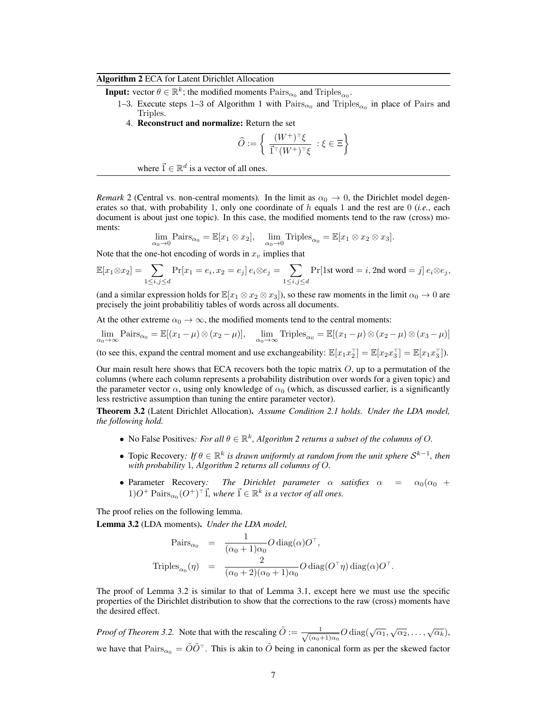## Algorithm 2 ECA for Latent Dirichlet Allocation

**Input:** vector  $\theta \in \mathbb{R}^k$ ; the modified moments  $\text{Pairs}_{\alpha_0}$  and  $\text{Triples}_{\alpha_0}$ .

- 1–3. Execute steps 1–3 of Algorithm 1 with  $\text{Pairs}_{\alpha_0}$  and  $\text{Triples}_{\alpha_0}$  in place of Pairs and Triples.
	- 4. Reconstruct and normalize: Return the set

$$
\widehat{O}:=\left\{\ \frac{(W^+)^{\top}\xi}{\vec{1}^{\top}(W^+)^{\top}\xi}\ : \xi\in \Xi\right\}
$$

where  $\vec{1} \in \mathbb{R}^d$  is a vector of all ones.

*Remark* 2 (Central vs. non-central moments). In the limit as  $\alpha_0 \to 0$ , the Dirichlet model degenerates so that, with probability 1, only one coordinate of h equals 1 and the rest are 0 (*i.e.*, each document is about just one topic). In this case, the modified moments tend to the raw (cross) moments:

$$
\lim_{\alpha_0 \to 0} \text{Pairs}_{\alpha_0} = \mathbb{E}[x_1 \otimes x_2], \quad \lim_{\alpha_0 \to 0} \text{Triples}_{\alpha_0} = \mathbb{E}[x_1 \otimes x_2 \otimes x_3].
$$

Note that the one-hot encoding of words in  $x<sub>v</sub>$  implies that

$$
\mathbb{E}[x_1 \otimes x_2] = \sum_{1 \leq i,j \leq d} \Pr[x_1 = e_i, x_2 = e_j] \, e_i \otimes e_j = \sum_{1 \leq i,j \leq d} \Pr[\text{1st word} = i, \text{2nd word} = j] \, e_i \otimes e_j,
$$

(and a similar expression holds for  $\mathbb{E}[x_1 \otimes x_2 \otimes x_3]$ ), so these raw moments in the limit  $\alpha_0 \to 0$  are precisely the joint probabilitiy tables of words across all documents.

At the other extreme  $\alpha_0 \to \infty$ , the modified moments tend to the central moments:

$$
\lim_{\alpha_0 \to \infty} \text{Pairs}_{\alpha_0} = \mathbb{E}[(x_1 - \mu) \otimes (x_2 - \mu)], \quad \lim_{\alpha_0 \to \infty} \text{Triples}_{\alpha_0} = \mathbb{E}[(x_1 - \mu) \otimes (x_2 - \mu) \otimes (x_3 - \mu)]
$$

(to see this, expand the central moment and use exchangeability:  $\mathbb{E}[x_1 x_2^{\top}] = \mathbb{E}[x_2 x_3^{\top}] = \mathbb{E}[x_1 x_3^{\top}].$ 

Our main result here shows that ECA recovers both the topic matrix  $O$ , up to a permutation of the columns (where each column represents a probability distribution over words for a given topic) and the parameter vector  $\alpha$ , using only knowledge of  $\alpha_0$  (which, as discussed earlier, is a significantly less restrictive assumption than tuning the entire parameter vector).

Theorem 3.2 (Latent Dirichlet Allocation). *Assume Condition 2.1 holds. Under the LDA model, the following hold.*

- No False Positives: *For all*  $\theta \in \mathbb{R}^k$ , *Algorithm 2 returns a subset of the columns of O.*
- **•** Topic Recovery: If  $\theta \in \mathbb{R}^k$  is drawn uniformly at random from the unit sphere  $\mathcal{S}^{k-1}$ , then *with probability* 1*, Algorithm 2 returns all columns of* O*.*
- Parameter Recovery: The Dirichlet parameter  $\alpha$  satisfies  $\alpha = \alpha_0(\alpha_0 + \alpha_1)$  $1)O^+$  Pairs $_{\alpha_0}(O^+)^{\dagger}$   $\vec{1}$ *, where*  $\vec{1} \in \mathbb{R}^k$  *is a vector of all ones.*

The proof relies on the following lemma.

Lemma 3.2 (LDA moments). *Under the LDA model,*

$$
\begin{array}{rcl}\n\text{Pairs}_{\alpha_0} & = & \displaystyle\frac{1}{(\alpha_0+1)\alpha_0}O\operatorname{diag}(\alpha)O^\top, \\
\text{Triples}_{\alpha_0}(\eta) & = & \displaystyle\frac{2}{(\alpha_0+2)(\alpha_0+1)\alpha_0}O\operatorname{diag}(O^\top\eta)\operatorname{diag}(\alpha)O^\top.\n\end{array}
$$

The proof of Lemma 3.2 is similar to that of Lemma 3.1, except here we must use the specific properties of the Dirichlet distribution to show that the corrections to the raw (cross) moments have the desired effect.

*Proof of Theorem 3.2.* Note that with the rescaling  $\tilde{O} := \frac{1}{\sqrt{1-\rho^2}}$  $\frac{1}{(\alpha_0+1)\alpha_0}O \operatorname{diag}(\sqrt{\alpha_1}, \sqrt{\alpha_2}, \ldots, \sqrt{\alpha_k}),$ we have that  $\text{Pairs}_{\alpha_0} = \tilde{O}\tilde{O}^\top$ . This is akin to  $\tilde{O}$  being in canonical form as per the skewed factor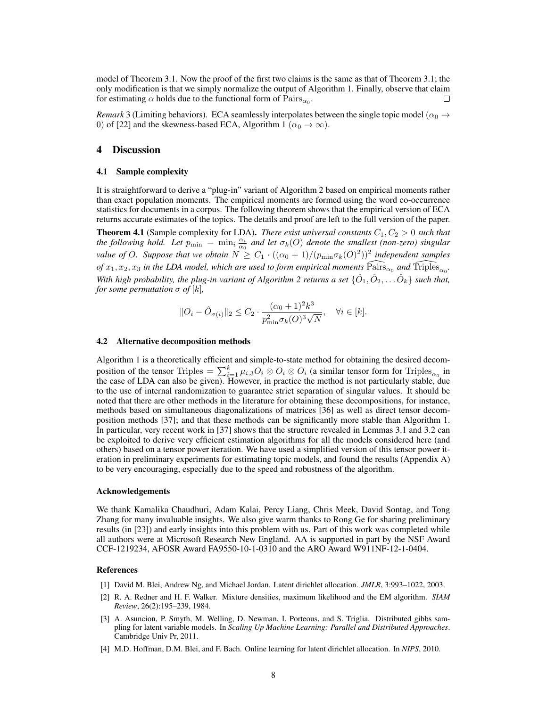model of Theorem 3.1. Now the proof of the first two claims is the same as that of Theorem 3.1; the only modification is that we simply normalize the output of Algorithm 1. Finally, observe that claim for estimating  $\alpha$  holds due to the functional form of  $\text{Pairs}_{\alpha_0}$ .

*Remark* 3 (Limiting behaviors). ECA seamlessly interpolates between the single topic model ( $\alpha_0 \rightarrow$ 0) of [22] and the skewness-based ECA, Algorithm 1 ( $\alpha_0 \rightarrow \infty$ ).

#### 4 Discussion

#### 4.1 Sample complexity

It is straightforward to derive a "plug-in" variant of Algorithm 2 based on empirical moments rather than exact population moments. The empirical moments are formed using the word co-occurrence statistics for documents in a corpus. The following theorem shows that the empirical version of ECA returns accurate estimates of the topics. The details and proof are left to the full version of the paper.

**Theorem 4.1** (Sample complexity for LDA). *There exist universal constants*  $C_1$ ,  $C_2 > 0$  *such that the following hold. Let*  $p_{\min} = \min_i \frac{\alpha_i}{\alpha_0}$  *and let*  $\sigma_k(O)$  *denote the smallest (non-zero) singular value of O. Suppose that we obtain*  $N \geq C_1 \cdot ((\alpha_0 + 1)/(p_{\min} \sigma_k(O)^2))^2$  independent samples *of*  $x_1, x_2, x_3$  *in the LDA model, which are used to form empirical moments*  $\widehat{Pairs}_{\alpha_0}$  *and*  $\widehat{Triples}_{\alpha_0}$ . With high probability, the plug-in variant of Algorithm 2 returns a set  $\{\hat{O}_1, \hat{O}_2, \dots \hat{O}_k\}$  such that, *for some permutation*  $\sigma$  *of*  $[k]$ *,* 

$$
||O_i - \hat{O}_{\sigma(i)}||_2 \le C_2 \cdot \frac{(\alpha_0 + 1)^2 k^3}{p_{\min}^2 \sigma_k(O)^3 \sqrt{N}}, \quad \forall i \in [k].
$$

#### 4.2 Alternative decomposition methods

Algorithm 1 is a theoretically efficient and simple-to-state method for obtaining the desired decomposition of the tensor Triples  $= \sum_{i=1}^k \mu_{i,3} O_i \otimes O_i \otimes O_i$  (a similar tensor form for Triples<sub> $\alpha_0$ </sub> in the case of LDA can also be given). However, in practice the method is not particularly stable, due to the use of internal randomization to guarantee strict separation of singular values. It should be noted that there are other methods in the literature for obtaining these decompositions, for instance, methods based on simultaneous diagonalizations of matrices [36] as well as direct tensor decomposition methods [37]; and that these methods can be significantly more stable than Algorithm 1. In particular, very recent work in [37] shows that the structure revealed in Lemmas 3.1 and 3.2 can be exploited to derive very efficient estimation algorithms for all the models considered here (and others) based on a tensor power iteration. We have used a simplified version of this tensor power iteration in preliminary experiments for estimating topic models, and found the results (Appendix A) to be very encouraging, especially due to the speed and robustness of the algorithm.

#### Acknowledgements

We thank Kamalika Chaudhuri, Adam Kalai, Percy Liang, Chris Meek, David Sontag, and Tong Zhang for many invaluable insights. We also give warm thanks to Rong Ge for sharing preliminary results (in [23]) and early insights into this problem with us. Part of this work was completed while all authors were at Microsoft Research New England. AA is supported in part by the NSF Award CCF-1219234, AFOSR Award FA9550-10-1-0310 and the ARO Award W911NF-12-1-0404.

#### References

- [1] David M. Blei, Andrew Ng, and Michael Jordan. Latent dirichlet allocation. *JMLR*, 3:993–1022, 2003.
- [2] R. A. Redner and H. F. Walker. Mixture densities, maximum likelihood and the EM algorithm. *SIAM Review*, 26(2):195–239, 1984.
- [3] A. Asuncion, P. Smyth, M. Welling, D. Newman, I. Porteous, and S. Triglia. Distributed gibbs sampling for latent variable models. In *Scaling Up Machine Learning: Parallel and Distributed Approaches*. Cambridge Univ Pr, 2011.
- [4] M.D. Hoffman, D.M. Blei, and F. Bach. Online learning for latent dirichlet allocation. In *NIPS*, 2010.